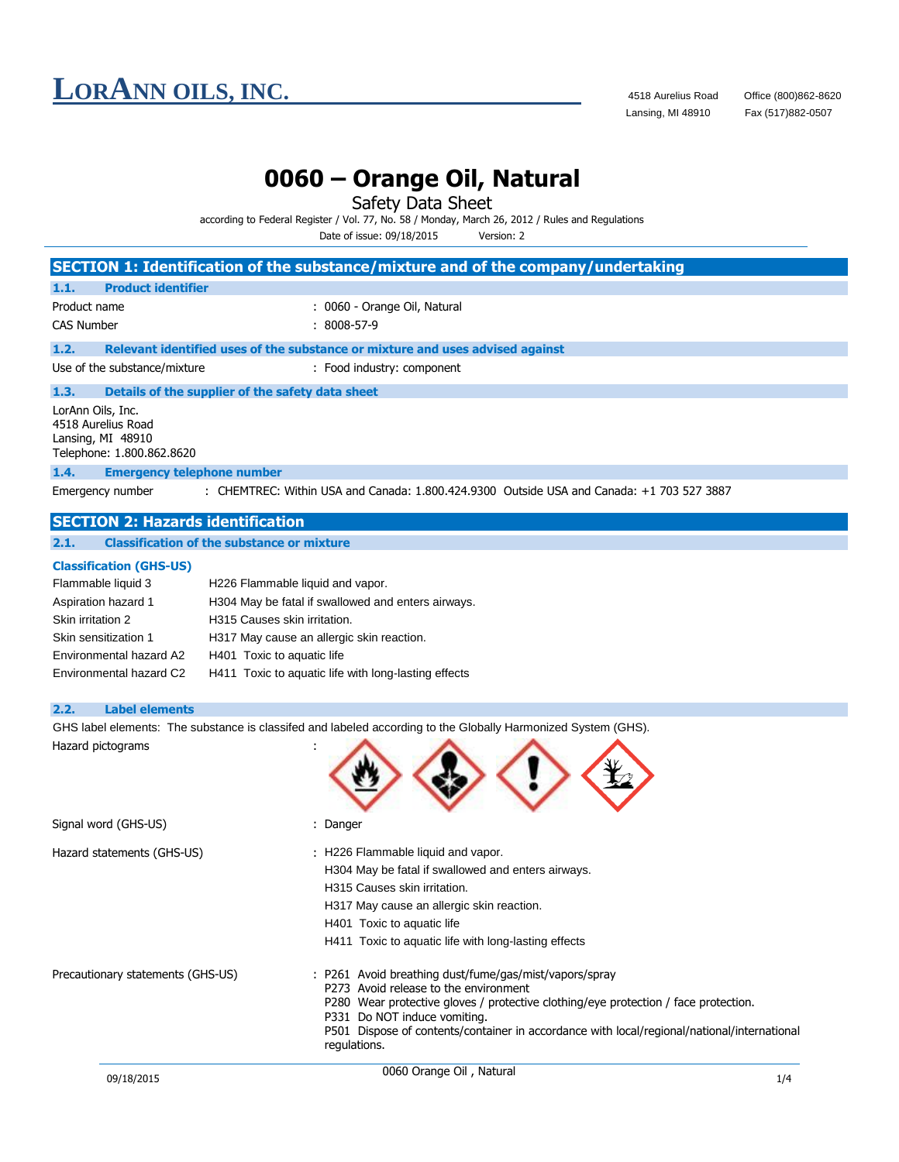### **LORANN OILS, INC.** 4518 Aurelius Road Office (800)862-8620<br>Lansing, MI 48910 Fax (517)882-0507

### **0060 – Orange Oil, Natural**

Safety Data Sheet

| according to Federal Register / Vol. 77, No. 58 / Monday, March 26, 2012 / Rules and Regulations |            |  |
|--------------------------------------------------------------------------------------------------|------------|--|
| Date of issue: 09/18/2015                                                                        | Version: 2 |  |

**SECTION 1: Identification of the substance/mixture and of the company/undertaking 1.1. Product identifier** Product name  $\qquad \qquad : \quad 0060$  - Orange Oil, Natural CAS Number : 8008-57-9 **1.2. Relevant identified uses of the substance or mixture and uses advised against** Use of the substance/mixture : Food industry: component **1.3. Details of the supplier of the safety data sheet** LorAnn Oils, Inc. 4518 Aurelius Road Lansing, MI 48910 Telephone: 1.800.862.8620 **1.4. Emergency telephone number** Emergency number : CHEMTREC: Within USA and Canada: 1.800.424.9300 Outside USA and Canada: +1 703 527 3887 **SECTION 2: Hazards identification 2.1. Classification of the substance or mixture Classification (GHS-US)** Flammable liquid 3 H226 Flammable liquid and vapor. Aspiration hazard 1 H304 May be fatal if swallowed and enters airways. Skin irritation 2 H315 Causes skin irritation. Skin sensitization 1 H317 May cause an allergic skin reaction. Environmental hazard A2 H401 Toxic to aquatic life Environmental hazard C2 H411 Toxic to aquatic life with long-lasting effects **2.2. Label elements** GHS label elements: The substance is classifed and labeled according to the Globally Harmonized System (GHS). Hazard pictograms : Signal word (GHS-US) **in the state of the Signal word** (GHS-US) Hazard statements (GHS-US) : H226 Flammable liquid and vapor. H304 May be fatal if swallowed and enters airways. H315 Causes skin irritation. H317 May cause an allergic skin reaction. H401 Toxic to aquatic life H411 Toxic to aquatic life with long-lasting effects Precautionary statements (GHS-US) : P261 Avoid breathing dust/fume/gas/mist/vapors/spray P273 Avoid release to the environment P280 Wear protective gloves / protective clothing/eye protection / face protection. P331 Do NOT induce vomiting.

P501 Dispose of contents/container in accordance with local/regional/national/international regulations.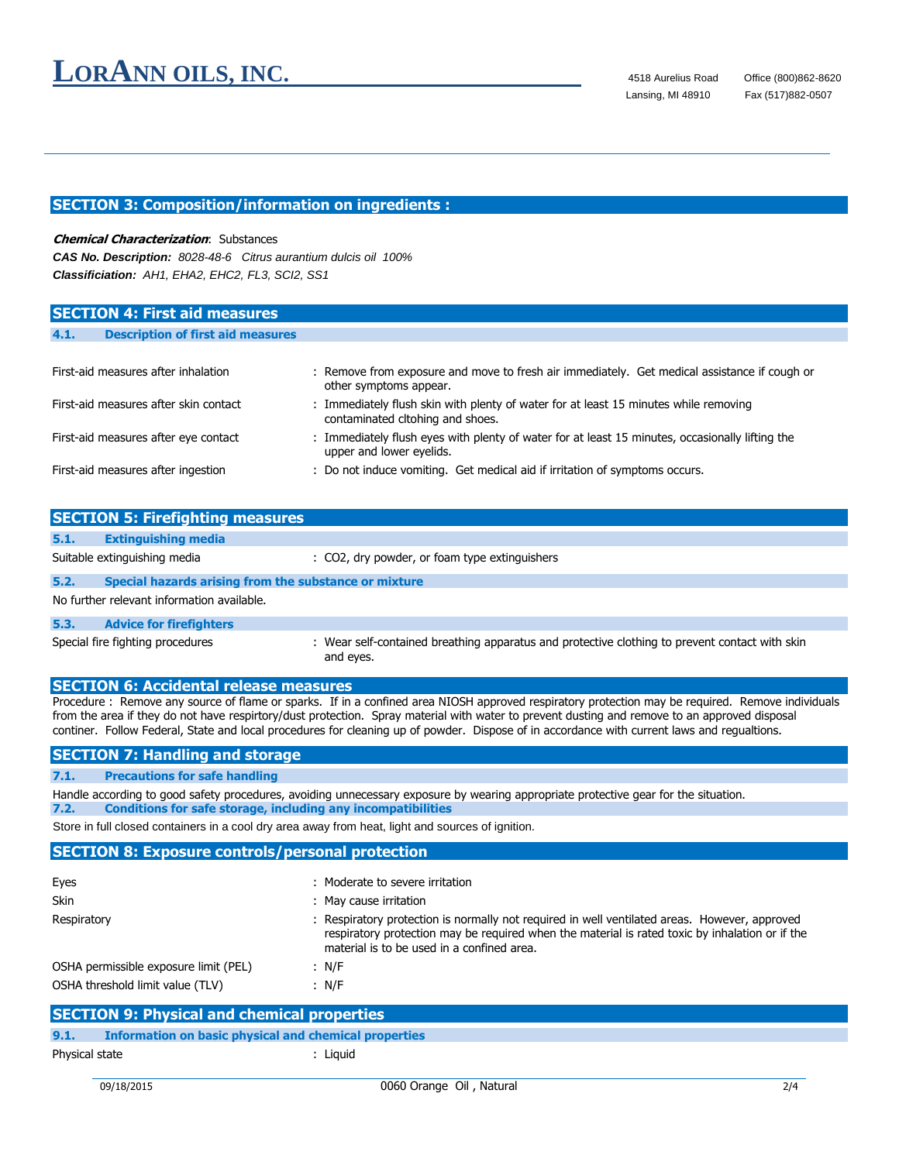#### **SECTION 3: Composition/information on ingredients :**

#### **Chemical Characterization**: Substances

*CAS No. Description: 8028-48-6 Citrus aurantium dulcis oil 100% Classificiation: AH1, EHA2, EHC2, FL3, SCI2, SS1*

| <b>SECTION 4: First aid measures</b>             |                                                                                                                             |
|--------------------------------------------------|-----------------------------------------------------------------------------------------------------------------------------|
|                                                  |                                                                                                                             |
| <b>Description of first aid measures</b><br>4.1. |                                                                                                                             |
|                                                  |                                                                                                                             |
| First-aid measures after inhalation              | : Remove from exposure and move to fresh air immediately. Get medical assistance if cough or<br>other symptoms appear.      |
| First-aid measures after skin contact            | : Immediately flush skin with plenty of water for at least 15 minutes while removing<br>contaminated cltohing and shoes.    |
| First-aid measures after eye contact             | : Immediately flush eyes with plenty of water for at least 15 minutes, occasionally lifting the<br>upper and lower eyelids. |
| First-aid measures after ingestion               | : Do not induce vomiting. Get medical aid if irritation of symptoms occurs.                                                 |

| <b>SECTION 5: Firefighting measures</b>    |                                                       |                                                                                                             |  |  |
|--------------------------------------------|-------------------------------------------------------|-------------------------------------------------------------------------------------------------------------|--|--|
| 5.1.                                       | <b>Extinguishing media</b>                            |                                                                                                             |  |  |
|                                            | Suitable extinguishing media                          | : CO2, dry powder, or foam type extinguishers                                                               |  |  |
| 5.2.                                       | Special hazards arising from the substance or mixture |                                                                                                             |  |  |
| No further relevant information available. |                                                       |                                                                                                             |  |  |
| 5.3.                                       | <b>Advice for firefighters</b>                        |                                                                                                             |  |  |
|                                            | Special fire fighting procedures                      | : Wear self-contained breathing apparatus and protective clothing to prevent contact with skin<br>and eyes. |  |  |

#### **SECTION 6: Accidental release measures**

Procedure : Remove any source of flame or sparks. If in a confined area NIOSH approved respiratory protection may be required. Remove individuals from the area if they do not have respirtory/dust protection. Spray material with water to prevent dusting and remove to an approved disposal continer. Follow Federal, State and local procedures for cleaning up of powder. Dispose of in accordance with current laws and regualtions.

#### **SECTION 7: Handling and storage**

#### **7.1. Precautions for safe handling**

Handle according to good safety procedures, avoiding unnecessary exposure by wearing appropriate protective gear for the situation. **7.2. Conditions for safe storage, including any incompatibilities**

Store in full closed containers in a cool dry area away from heat, light and sources of ignition.

#### **SECTION 8: Exposure controls/personal protection**

| Eyes                                  | Moderate to severe irritation                                                                                                                                                                                                                |
|---------------------------------------|----------------------------------------------------------------------------------------------------------------------------------------------------------------------------------------------------------------------------------------------|
| <b>Skin</b>                           | May cause irritation                                                                                                                                                                                                                         |
| Respiratory                           | Respiratory protection is normally not required in well ventilated areas. However, approved<br>respiratory protection may be required when the material is rated toxic by inhalation or if the<br>material is to be used in a confined area. |
| OSHA permissible exposure limit (PEL) | : N/F                                                                                                                                                                                                                                        |
| OSHA threshold limit value (TLV)      | : $N/F$                                                                                                                                                                                                                                      |

|                | <b>SECTION 9: Physical and chemical properties</b>    |  |  |  |
|----------------|-------------------------------------------------------|--|--|--|
| 9.1.           | Information on basic physical and chemical properties |  |  |  |
| Physical state | : Liauid                                              |  |  |  |
|                |                                                       |  |  |  |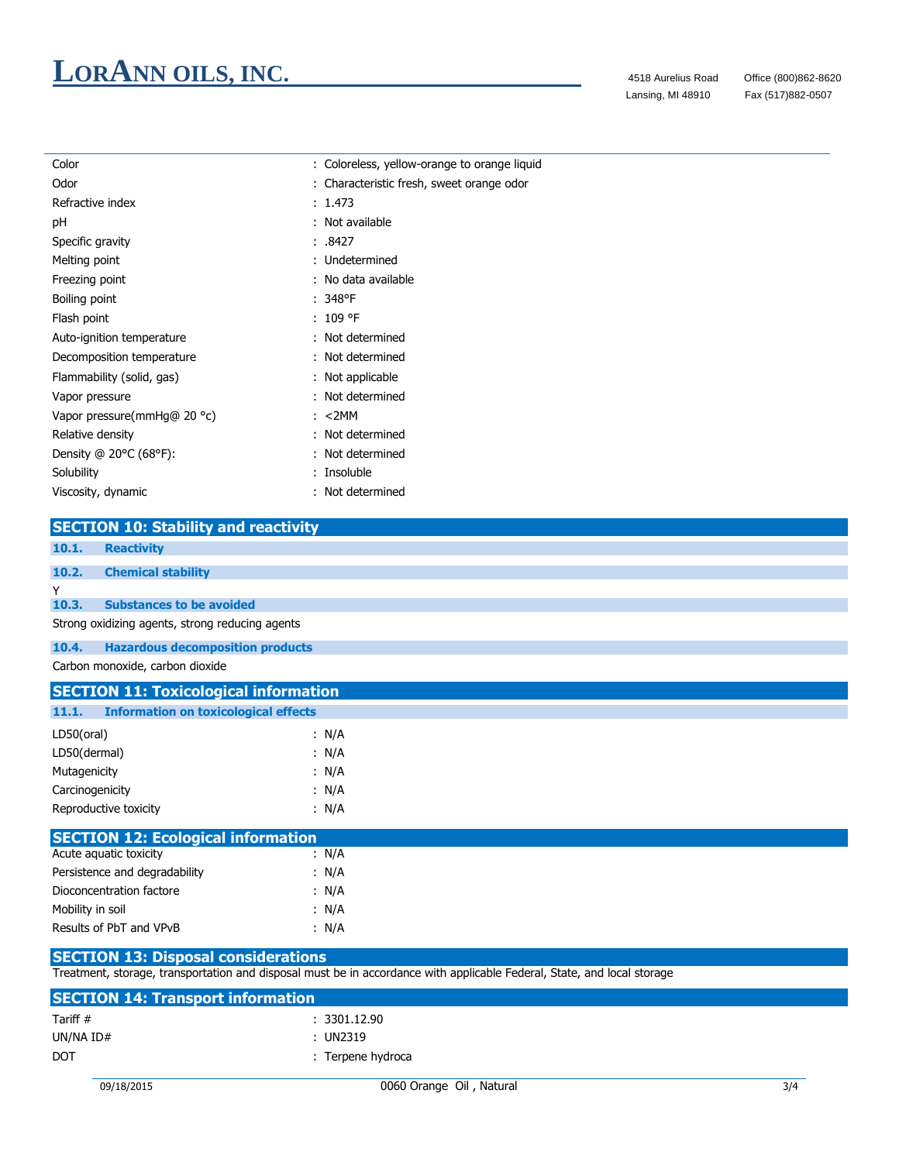# **LORANN OILS, INC.** 4518 Aurelius Road Office (800)862-8620

Fax (517)882-0507

| Color                                            | : Coloreless, yellow-orange to orange liquid |  |  |
|--------------------------------------------------|----------------------------------------------|--|--|
| Odor                                             | : Characteristic fresh, sweet orange odor    |  |  |
| Refractive index                                 | : 1.473                                      |  |  |
| pH                                               | : Not available                              |  |  |
| Specific gravity                                 | : .8427                                      |  |  |
| Melting point                                    | : Undetermined                               |  |  |
| Freezing point                                   | : No data available                          |  |  |
| Boiling point                                    | $: 348$ °F                                   |  |  |
| Flash point                                      | : 109 °F                                     |  |  |
| Auto-ignition temperature                        | : Not determined                             |  |  |
| Decomposition temperature                        | : Not determined                             |  |  |
| Flammability (solid, gas)                        | : Not applicable                             |  |  |
| Vapor pressure                                   | : Not determined                             |  |  |
| Vapor pressure(mmHg@ 20 °c)                      | : < 2MM                                      |  |  |
| Relative density                                 | : Not determined                             |  |  |
| Density @ 20°C (68°F):                           | : Not determined                             |  |  |
| Solubility                                       | : Insoluble                                  |  |  |
| Viscosity, dynamic                               | : Not determined                             |  |  |
|                                                  |                                              |  |  |
| <b>SECTION 10: Stability and reactivity</b>      |                                              |  |  |
| 10.1.<br><b>Reactivity</b>                       |                                              |  |  |
| 10.2.<br><b>Chemical stability</b>               |                                              |  |  |
| Y                                                |                                              |  |  |
| 10.3.<br><b>Substances to be avoided</b>         |                                              |  |  |
| Strong oxidizing agents, strong reducing agents  |                                              |  |  |
| 10.4.<br><b>Hazardous decomposition products</b> |                                              |  |  |
| Carbon monoxide, carbon dioxide                  |                                              |  |  |
| <b>SECTION 11: Toxicological information</b>     |                                              |  |  |
| 11 1 <b>Information on toxicological effects</b> |                                              |  |  |

| 11.1.           | <b>Information on toxicological effects</b> |  |       |  |
|-----------------|---------------------------------------------|--|-------|--|
| LD50(oral)      |                                             |  | : N/A |  |
| LD50(dermal)    |                                             |  | : N/A |  |
| Mutagenicity    |                                             |  | : N/A |  |
| Carcinogenicity |                                             |  | : N/A |  |
|                 | Reproductive toxicity                       |  | : N/A |  |

| <b>SECTION 12: Ecological information</b> |       |
|-------------------------------------------|-------|
| Acute aguatic toxicity                    | : N/A |
| Persistence and degradability             | : N/A |
| Dioconcentration factore                  | : N/A |
| Mobility in soil                          | : N/A |
| Results of PbT and VPvB                   | : N/A |
|                                           |       |

#### **SECTION 13: Disposal considerations**

Treatment, storage, transportation and disposal must be in accordance with applicable Federal, State, and local storage

| <b>SECTION 14: Transport information</b> |                   |  |  |
|------------------------------------------|-------------------|--|--|
| Tariff #                                 | : 3301.12.90      |  |  |
| UN/NA ID#                                | : UN2319          |  |  |
| <b>DOT</b>                               | : Terpene hydroca |  |  |
|                                          |                   |  |  |